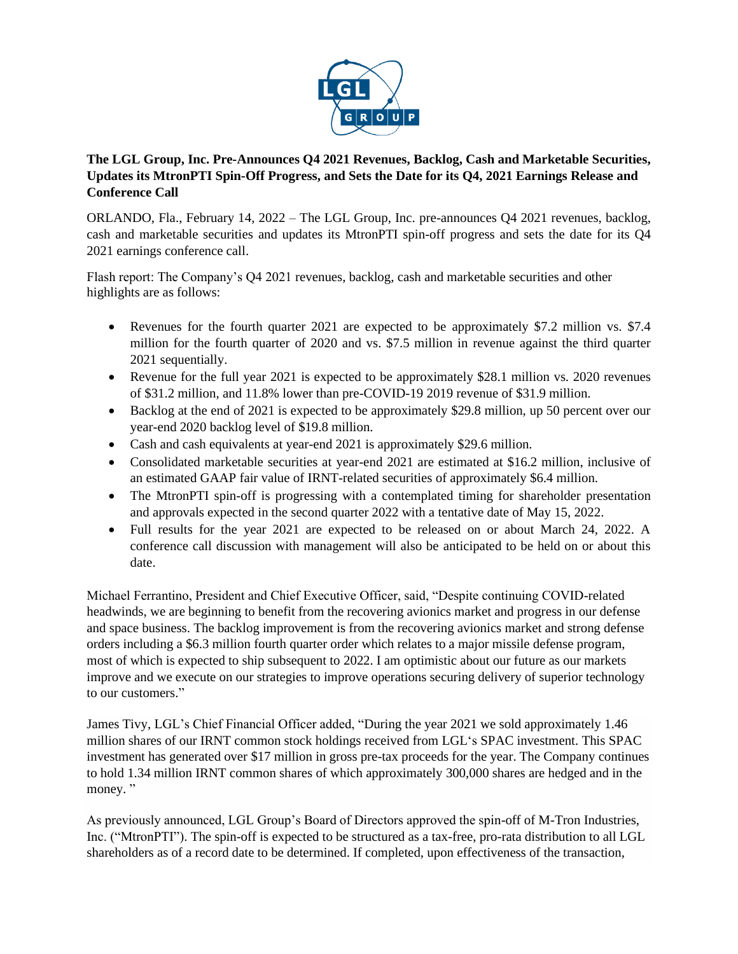

## **The LGL Group, Inc. Pre-Announces Q4 2021 Revenues, Backlog, Cash and Marketable Securities, Updates its MtronPTI Spin-Off Progress, and Sets the Date for its Q4, 2021 Earnings Release and Conference Call**

ORLANDO, Fla., February 14, 2022 – The LGL Group, Inc. pre-announces Q4 2021 revenues, backlog, cash and marketable securities and updates its MtronPTI spin-off progress and sets the date for its Q4 2021 earnings conference call.

Flash report: The Company's Q4 2021 revenues, backlog, cash and marketable securities and other highlights are as follows:

- Revenues for the fourth quarter 2021 are expected to be approximately \$7.2 million vs. \$7.4 million for the fourth quarter of 2020 and vs. \$7.5 million in revenue against the third quarter 2021 sequentially.
- Revenue for the full year 2021 is expected to be approximately \$28.1 million vs. 2020 revenues of \$31.2 million, and 11.8% lower than pre-COVID-19 2019 revenue of \$31.9 million.
- Backlog at the end of 2021 is expected to be approximately \$29.8 million, up 50 percent over our year-end 2020 backlog level of \$19.8 million.
- Cash and cash equivalents at year-end 2021 is approximately \$29.6 million.
- Consolidated marketable securities at year-end 2021 are estimated at \$16.2 million, inclusive of an estimated GAAP fair value of IRNT-related securities of approximately \$6.4 million.
- The MtronPTI spin-off is progressing with a contemplated timing for shareholder presentation and approvals expected in the second quarter 2022 with a tentative date of May 15, 2022.
- Full results for the year 2021 are expected to be released on or about March 24, 2022. A conference call discussion with management will also be anticipated to be held on or about this date.

Michael Ferrantino, President and Chief Executive Officer, said, "Despite continuing COVID-related headwinds, we are beginning to benefit from the recovering avionics market and progress in our defense and space business. The backlog improvement is from the recovering avionics market and strong defense orders including a \$6.3 million fourth quarter order which relates to a major missile defense program, most of which is expected to ship subsequent to 2022. I am optimistic about our future as our markets improve and we execute on our strategies to improve operations securing delivery of superior technology to our customers."

James Tivy, LGL's Chief Financial Officer added, "During the year 2021 we sold approximately 1.46 million shares of our IRNT common stock holdings received from LGL's SPAC investment. This SPAC investment has generated over \$17 million in gross pre-tax proceeds for the year. The Company continues to hold 1.34 million IRNT common shares of which approximately 300,000 shares are hedged and in the money."

As previously announced, LGL Group's Board of Directors approved the spin-off of M-Tron Industries, Inc. ("MtronPTI"). The spin-off is expected to be structured as a tax-free, pro-rata distribution to all LGL shareholders as of a record date to be determined. If completed, upon effectiveness of the transaction,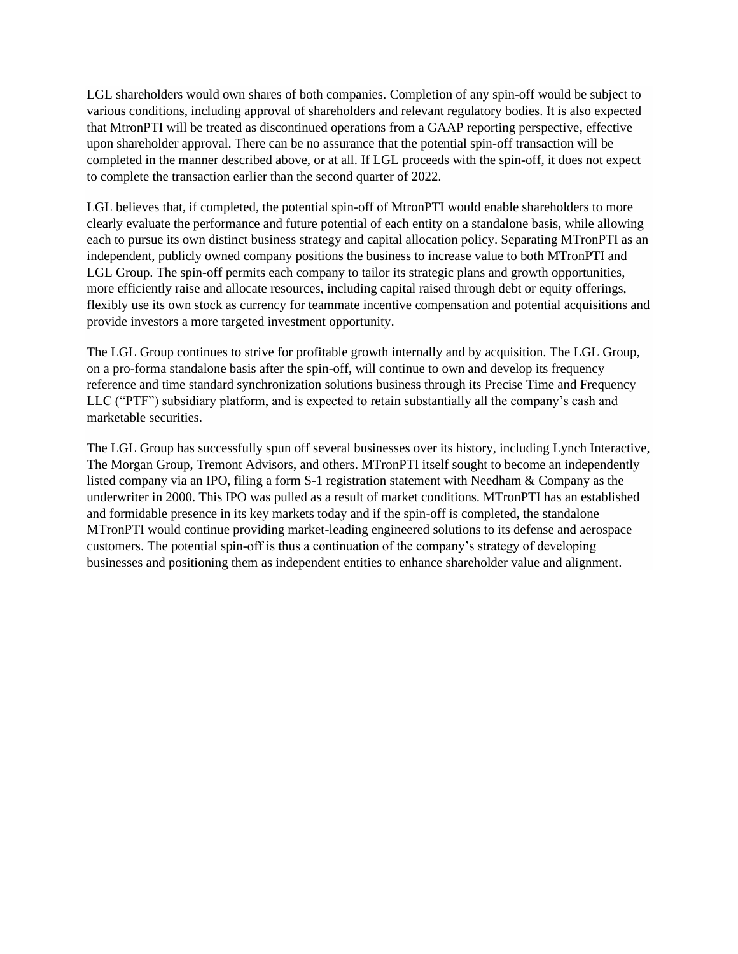LGL shareholders would own shares of both companies. Completion of any spin-off would be subject to various conditions, including approval of shareholders and relevant regulatory bodies. It is also expected that MtronPTI will be treated as discontinued operations from a GAAP reporting perspective, effective upon shareholder approval. There can be no assurance that the potential spin-off transaction will be completed in the manner described above, or at all. If LGL proceeds with the spin-off, it does not expect to complete the transaction earlier than the second quarter of 2022.

LGL believes that, if completed, the potential spin-off of MtronPTI would enable shareholders to more clearly evaluate the performance and future potential of each entity on a standalone basis, while allowing each to pursue its own distinct business strategy and capital allocation policy. Separating MTronPTI as an independent, publicly owned company positions the business to increase value to both MTronPTI and LGL Group. The spin-off permits each company to tailor its strategic plans and growth opportunities, more efficiently raise and allocate resources, including capital raised through debt or equity offerings, flexibly use its own stock as currency for teammate incentive compensation and potential acquisitions and provide investors a more targeted investment opportunity.

The LGL Group continues to strive for profitable growth internally and by acquisition. The LGL Group, on a pro-forma standalone basis after the spin-off, will continue to own and develop its frequency reference and time standard synchronization solutions business through its Precise Time and Frequency LLC ("PTF") subsidiary platform, and is expected to retain substantially all the company's cash and marketable securities.

The LGL Group has successfully spun off several businesses over its history, including Lynch Interactive, The Morgan Group, Tremont Advisors, and others. MTronPTI itself sought to become an independently listed company via an IPO, filing a form S-1 registration statement with Needham & Company as the underwriter in 2000. This IPO was pulled as a result of market conditions. MTronPTI has an established and formidable presence in its key markets today and if the spin-off is completed, the standalone MTronPTI would continue providing market-leading engineered solutions to its defense and aerospace customers. The potential spin-off is thus a continuation of the company's strategy of developing businesses and positioning them as independent entities to enhance shareholder value and alignment.